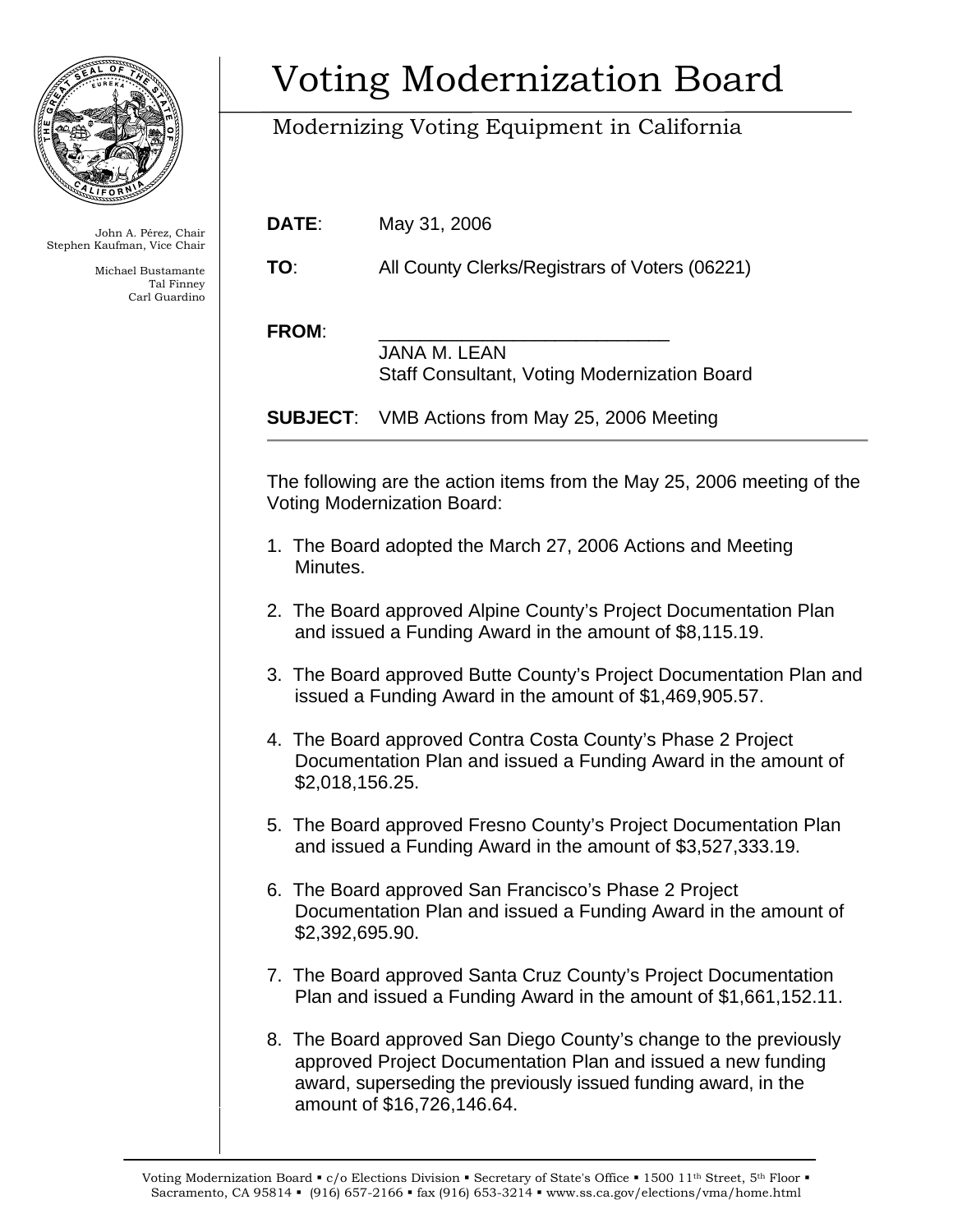

John A. Pérez, Chair Stephen Kaufman, Vice Chair

> Michael Bustamante Tal Finney Carl Guardino

## Voting Modernization Board

## Modernizing Voting Equipment in California

| DATE:           | May 31, 2006                                                                                                                                                                 |
|-----------------|------------------------------------------------------------------------------------------------------------------------------------------------------------------------------|
| TO:             | All County Clerks/Registrars of Voters (06221)                                                                                                                               |
| <b>FROM:</b>    | <b>JANA M. LEAN</b><br><b>Staff Consultant, Voting Modernization Board</b>                                                                                                   |
| <b>SUBJECT:</b> | VMB Actions from May 25, 2006 Meeting                                                                                                                                        |
|                 | The following are the action items from the May 25, 2006 meeting of the<br><b>Voting Modernization Board:</b><br>1. The Board adopted the March 27, 2006 Actions and Meeting |
| Minutes.        | 2. The Board approved Alpine County's Project Documentation Plan<br>and issued a Funding Award in the amount of \$8,115.19.                                                  |
|                 | 3. The Board approved Butte County's Project Documentation Plan and<br>issued a Funding Award in the amount of \$1,469,905.57.                                               |
| \$2,018,156.25. | 4. The Board approved Contra Costa County's Phase 2 Project<br>Documentation Plan and issued a Funding Award in the amount of                                                |
|                 | 5. The Board approved Fresno County's Project Documentation Plan<br>and issued a Funding Award in the amount of \$3,527,333.19.                                              |
| \$2,392,695.90. | 6. The Board approved San Francisco's Phase 2 Project<br>Documentation Plan and issued a Funding Award in the amount of                                                      |

- 7. The Board approved Santa Cruz County's Project Documentation Plan and issued a Funding Award in the amount of \$1,661,152.11.
- 8. The Board approved San Diego County's change to the previously approved Project Documentation Plan and issued a new funding award, superseding the previously issued funding award, in the amount of \$16,726,146.64.